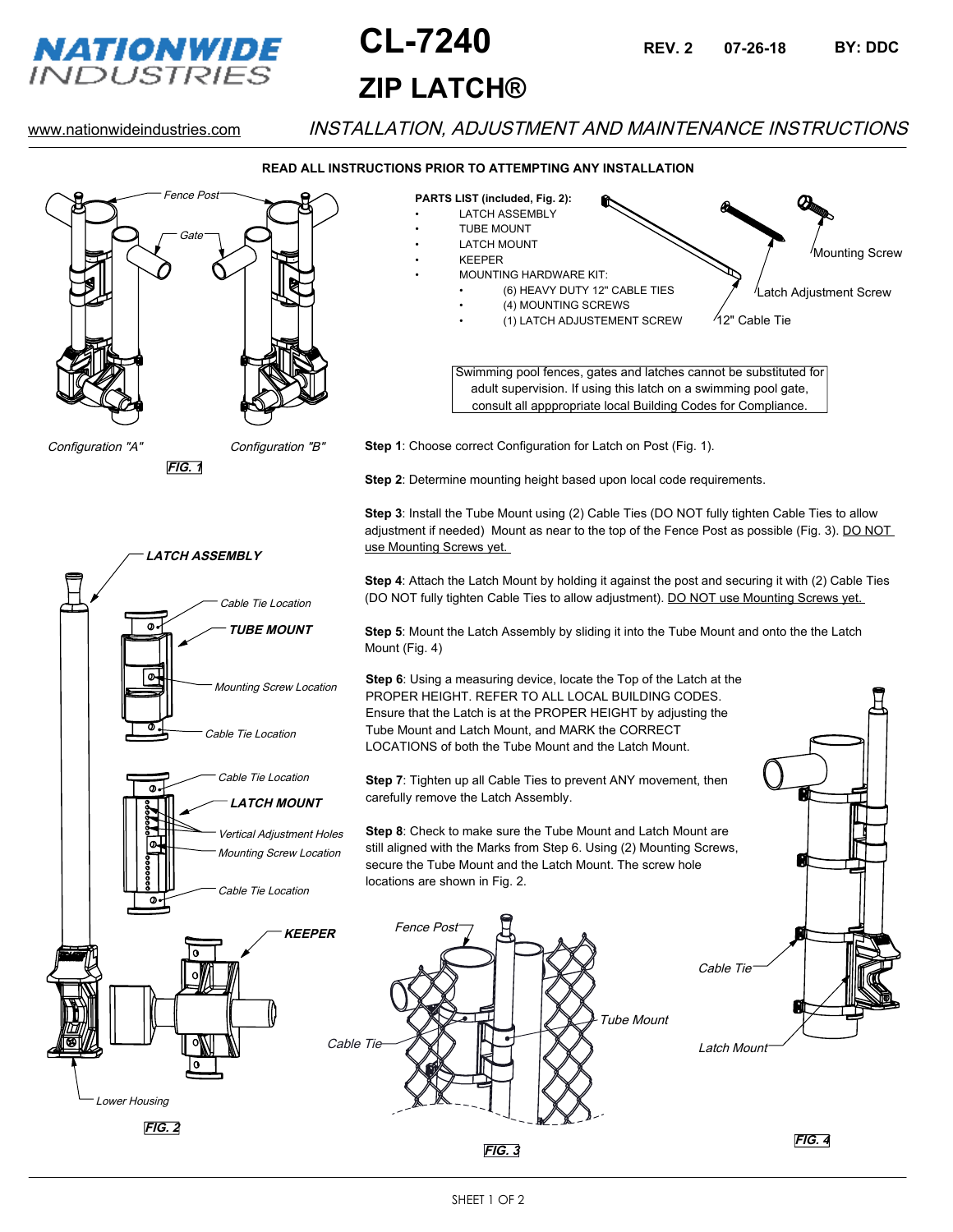

# **ZIP LATCH® CL-7240 07-26-18 BY: DDC**

**REV. 2**

# www.nationwideindustries.com INSTALLATION, ADJUSTMENT AND MAINTENANCE INSTRUCTIONS